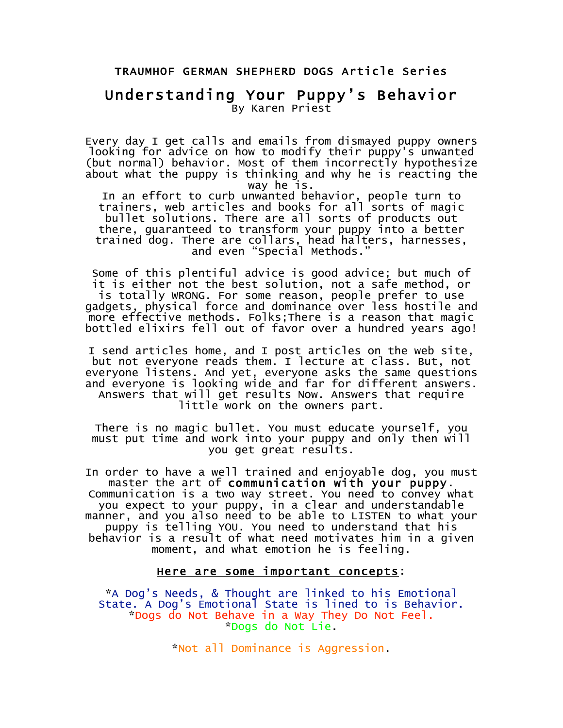#### TRAUMHOF GERMAN SHEPHERD DOGS Article Series

### Understanding Your Puppy's Behavior By Karen Priest

Every day I get calls and emails from dismayed puppy owners looking for advice on how to modify their puppy's unwanted (but normal) behavior. Most of them incorrectly hypothesize about what the puppy is thinking and why he is reacting the way he is.

In an effort to curb unwanted behavior, people turn to trainers, web articles and books for all sorts of magic bullet solutions. There are all sorts of products out there, guaranteed to transform your puppy into a better trained dog. There are collars, head halters, harnesses, and even "Special Methods."

Some of this plentiful advice is good advice; but much of it is either not the best solution, not a safe method, or is totally WRONG. For some reason, people prefer to use gadgets, physical force and dominance over less hostile and more effective methods. Folks;There is a reason that magic bottled elixirs fell out of favor over a hundred years ago!

I send articles home, and I post articles on the web site, but not everyone reads them. I lecture at class. But, not everyone listens. And yet, everyone asks the same questions and everyone is looking wide and far for different answers. Answers that will get results Now. Answers that require little work on the owners part.

There is no magic bullet. You must educate yourself, you must put time and work into your puppy and only then will you get great results.

In order to have a well trained and enjoyable dog, you must<br>master the art of communication with your puppy. master the art of <u>communication with your puppy.</u><br>Communication is a two way street. You need to convey what you expect to your puppy, in a clear and understandable manner, and you also need to be able to LISTEN to what your puppy is telling YOU. You need to understand that his behavior is a result of what need motivates him in a given moment, and what emotion he is feeling.

#### Here are some important concepts:

\*A Dog's Needs, & Thought are linked to his Emotional State. A Dog's Emotional State is lined to is Behavior. \*Dogs do Not Behave in a Way They Do Not Feel. \*Dogs do Not Lie.

\*Not all Dominance is Aggression.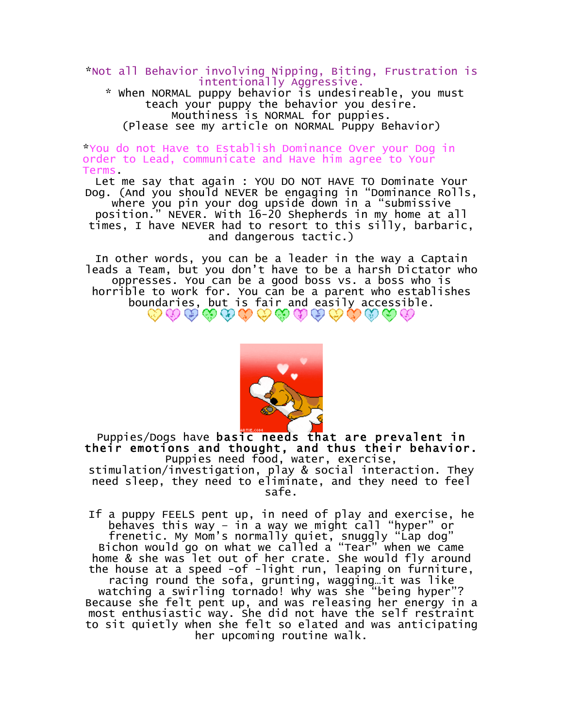\*Not all Behavior involving Nipping, Biting, Frustration is intentionally Aggressive.

\* When NORMAL puppy behavior is undesireable, you must teach your puppy the behavior you desire. Mouthiness is NORMAL for puppies. (Please see my article on NORMAL Puppy Behavior)

\*You do not Have to Establish Dominance Over your Dog in order to Lead, communicate and Have him agree to Your Terms.

Let me say that again : YOU DO NOT HAVE TO Dominate Your Dog. (And you should NEVER be engaging in "Dominance Rolls, where you pin your dog upside down in a "submissive position." NEVER. With 16-20 Shepherds in my home at all times, I have NEVER had to resort to this silly, barbaric, and dangerous tactic.)

In other words, you can be a leader in the way a Captain leads a Team, but you don't have to be a harsh Dictator who oppresses. You can be a good boss vs. a boss who is horrible to work for. You can be a parent who establishes boundaries, but is fair and easily accessible.<br>  $\bigotimes \mathcal{O} \bigotimes \mathcal{O} \bigotimes \mathcal{O} \bigotimes \mathcal{O} \bigotimes \mathcal{O} \bigotimes \mathcal{O}$ 



Puppies/Dogs have basic needs that are prevalent in their emotions and thought, and thus their behavior. Puppies need food, water, exercise,

stimulation/investigation, play & social interaction. They need sleep, they need to eliminate, and they need to feel safe.

If a puppy FEELS pent up, in need of play and exercise, he behaves this way – in a way we might call "hyper" or frenetic. My Mom's normally quiet, snuggly "Lap dog" Bichon would go on what we called a "Tear" when we came home & she was let out of her crate. She would fly around the house at a speed -of -light run, leaping on furniture, racing round the sofa, grunting, wagging…it was like watching a swirling tornado! Why was she "being hyper"? Because she felt pent up, and was releasing her energy in a most enthusiastic way. She did not have the self restraint to sit quietly when she felt so elated and was anticipating her upcoming routine walk.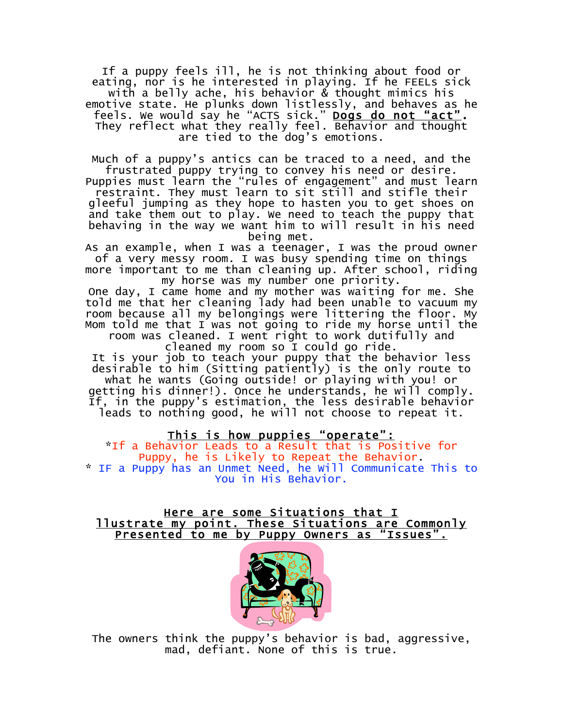If a puppy feels ill, he is not thinking about food or eating, nor is he interested in playing. If he FEELs sick with a belly ache, his behavior & thought mimics his emotive state. He plunks down listlessly, and behaves as he feels. We would say he "ACTS sick." <u>Dogs do not "act"</u>. They reflect what they really feel. Behavior and thought are tied to the dog's emotions.

Much of a puppy's antics can be traced to a need, and the frustrated puppy trying to convey his need or desire.

Puppies must learn the "rules of engagement" and must learn restraint. They must learn to sit still and stifle their gleeful jumping as they hope to hasten you to get shoes on and take them out to play. We need to teach the puppy that behaving in the way we want him to will result in his need being met.

As an example, when I was a teenager, I was the proud owner of a very messy room. I was busy spending time on things more important to me than cleaning up. After school, riding

my horse was my number one priority.

One day, I came home and my mother was waiting for me. She told me that her cleaning lady had been unable to vacuum my room because all my belongings were littering the floor. My Mom told me that I was not going to ride my horse until the room was cleaned. I went right to work dutifully and

cleaned my room so I could go ride.

It is your job to teach your puppy that the behavior less desirable to him (Sitting patiently) is the only route to what he wants (Going outside! or playing with you! or

getting his dinner!). Once he understands, he will comply. If, in the puppy's estimation, the less desirable behavior leads to nothing good, he will not choose to repeat it.

This is how puppies "operate":

\*If a Behavior Leads to a Result that is Positive for Puppy, he is Likely to Repeat the Behavior. \* IF a Puppy has an Unmet Need, he Will Communicate This to You in His Behavior.

## Here are some Situations that I<br><u>I lustrate my point. These Situations are Commonly</u><br>Presented to me by Puppy Owners as "Issues".



The owners think the puppy's behavior is bad, aggressive, mad, defiant. None of this is true.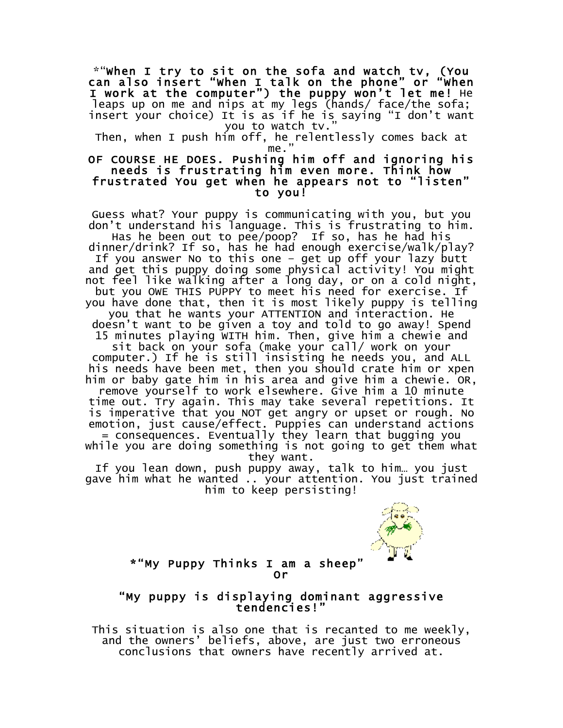\*"When I try to sit on the sofa and watch tv, (You can also insert "When I talk on the phone" or "When I work at the computer") the puppy won't let me! He leaps up on me and nips at my legs (hands/ face/the sofa; insert your choice) It is as if he is saying "I don't want you to watch tv."

Then, when I push him off, he relentlessly comes back at me.

#### OF COURSE HE DOES. Pushing him off and ignoring his needs is frustrating him even more. Think how frustrated You get when he appears not to "listen" to you!

Guess what? Your puppy is communicating with you, but you don't understand his language. This is frustrating to him. Has he been out to pee/poop? If so, has he had his dinner/drink? If so, has he had enough exercise/walk/play? If you answer No to this one – get up off your lazy butt and get this puppy doing some physical activity! You might not feel like walking after a long day, or on a cold night, but you OWE THIS PUPPY to meet his need for exercise. If you have done that, then it is most likely puppy is telling you that he wants your ATTENTION and interaction. He doesn't want to be given a toy and told to go away! Spend 15 minutes playing WITH him. Then, give him a chewie and sit back on your sofa (make your call/ work on your computer.) If he is still insisting he needs you, and ALL his needs have been met, then you should crate him or xpen him or baby gate him in his area and give him a chewie. OR, remove yourself to work elsewhere. Give him a 10 minute time out. Try again. This may take several repetitions. It is imperative that you NOT get angry or upset or rough. No emotion, just cause/effect. Puppies can understand actions = consequences. Eventually they learn that bugging you while you are doing something is not going to get them what they want. If you lean down, push puppy away, talk to him… you just gave him what he wanted .. your attention. You just trained

him to keep persisting!



### \*"My Puppy Thinks I am a sheep"

## Or<br>My puppy is displaying dominant aggressive"<br>tendencies!"

This situation is also one that is recanted to me weekly, and the owners' beliefs, above, are just two erroneous conclusions that owners have recently arrived at.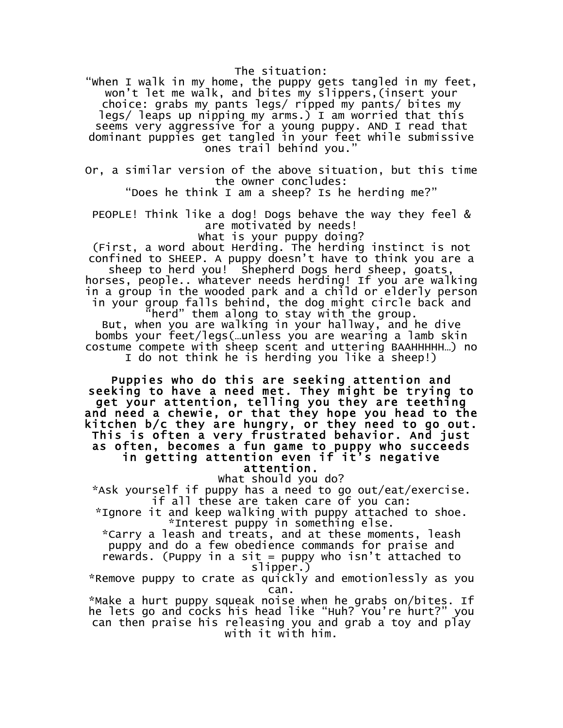The situation:

"When I walk in my home, the puppy gets tangled in my feet, won't let me walk, and bites my slippers,(insert your choice: grabs my pants legs/ ripped my pants/ bites my legs/ leaps up nipping my arms.) I am worried that this seems very aggressive for a young puppy. AND I read that dominant puppies get tangled in your feet while submissive ones trail behind you."

Or, a similar version of the above situation, but this time the owner concludes:

"Does he think I am a sheep? Is he herding me?"

PEOPLE! Think like a dog! Dogs behave the way they feel & are motivated by needs!

What is your puppy doing?

(First, a word about Herding. The herding instinct is not confined to SHEEP. A puppy doesn't have to think you are a sheep to herd you! Shepherd Dogs herd sheep, goats,

horses, people.. whatever needs herding! If you are walking in a group in the wooded park and a child or elderly person in your group falls behind, the dog might circle back and

 $'$ herd" them along to stay with the group. But, when you are walking in your hallway, and he dive bombs your feet/legs(…unless you are wearing a lamb skin costume compete with sheep scent and uttering BAAHHHHH…) no I do not think he is herding you like a sheep!)

Puppies who do this are seeking attention and seeking to have a need met. They might be trying to get your attention, telling you they are teething and need a chewie, or that they hope you head to the kitchen b/c they are hungry, or they need to go out. This is often a very frustrated behavior. And just as often, becomes a fun game to puppy who succeeds in getting attention even if it's negative attention.

What should you do?

\*Ask yourself if puppy has a need to go out/eat/exercise. if all these are taken care of you can:

\*Ignore it and keep walking with puppy attached to shoe. \*Interest puppy in something else.

\*Carry a leash and treats, and at these moments, leash puppy and do a few obedience commands for praise and rewards. (Puppy in a sit = puppy who isn't attached to slipper.)

\*Remove puppy to crate as quickly and emotionlessly as you can.

\*Make a hurt puppy squeak noise when he grabs on/bites. If he lets go and cocks his head like "Huh? You're hurt?" you can then praise his releasing you and grab a toy and play with it with him.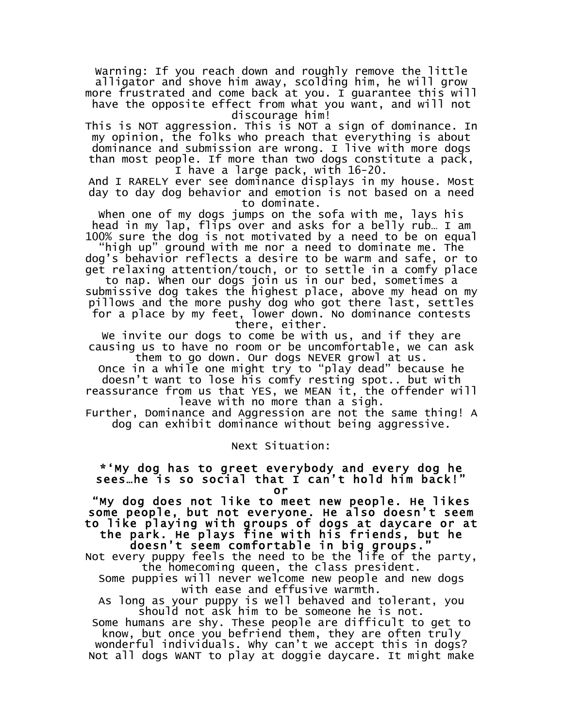Warning: If you reach down and roughly remove the little alligator and shove him away, scolding him, he will grow more frustrated and come back at you. I guarantee this will have the opposite effect from what you want, and will not discourage him!

This is NOT aggression. This is NOT a sign of dominance. In my opinion, the folks who preach that everything is about dominance and submission are wrong. I live with more dogs than most people. If more than two dogs constitute a pack, I have a large pack, with 16-20.

And I RARELY ever see dominance displays in my house. Most day to day dog behavior and emotion is not based on a need to dominate.

When one of my dogs jumps on the sofa with me, lays his head in my lap, flips over and asks for a belly rub… I am 100% sure the dog is not motivated by a need to be on equal

"high up" ground with me nor a need to dominate me. The dog's behavior reflects a desire to be warm and safe, or to get relaxing attention/touch, or to settle in a comfy place

to nap. When our dogs join us in our bed, sometimes a submissive dog takes the highest place, above my head on my pillows and the more pushy dog who got there last, settles for a place by my feet, lower down. No dominance contests there, either.

We invite our dogs to come be with us, and if they are causing us to have no room or be uncomfortable, we can ask

them to go down. Our dogs NEVER growl at us. Once in a while one might try to "play dead" because he doesn't want to lose his comfy resting spot.. but with reassurance from us that YES, we MEAN it, the offender will leave with no more than a sigh.

Further, Dominance and Aggression are not the same thing! A dog can exhibit dominance without being aggressive.

Next Situation:

#### \*'My dog has to greet everybody and every dog he sees…he is so social that I can't hold him back!"

or "My dog does not like to meet new people. He likes some people, but not everyone. He also doesn't seem<br>to like playing with groups of dogs at daycare or at<br>the park. He plays fine with his friends, but he<br>doesn't seem comfortable in big groups."<br>Not every puppy feels the n

the homecoming queen, the class president.

Some puppies will never welcome new people and new dogs with ease and effusive warmth.

As long as your puppy is well behaved and tolerant, you should not ask him to be someone he is not.

Some humans are shy. These people are difficult to get to know, but once you befriend them, they are often truly wonderful individuals. Why can't we accept this in dogs? Not all dogs WANT to play at doggie daycare. It might make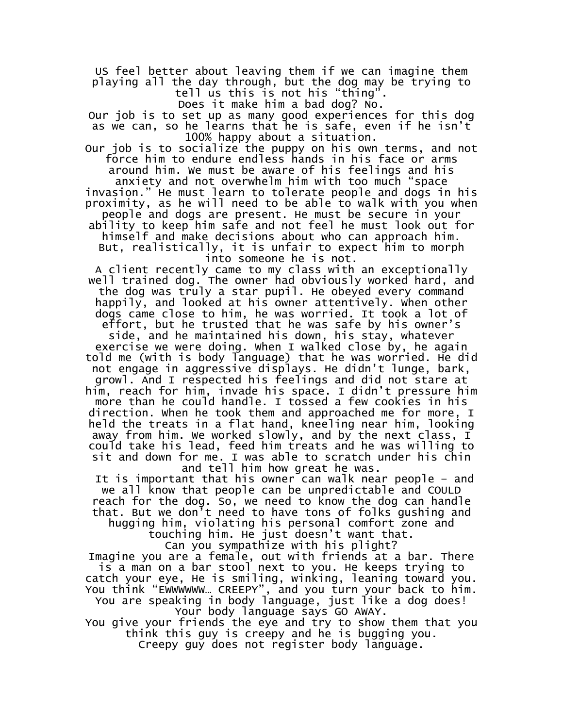US feel better about leaving them if we can imagine them playing all the day through, but the dog may be trying to tell us this is not his "thing".

Does it make him a bad dog? No.

Our job is to set up as many good experiences for this dog as we can, so he learns that he is safe, even if he isn't 100% happy about a situation.

Our job is to socialize the puppy on his own terms, and not force him to endure endless hands in his face or arms around him. We must be aware of his feelings and his

anxiety and not overwhelm him with too much "space invasion." He must learn to tolerate people and dogs in his proximity, as he will need to be able to walk with you when people and dogs are present. He must be secure in your ability to keep him safe and not feel he must look out for

himself and make decisions about who can approach him. But, realistically, it is unfair to expect him to morph

into someone he is not.

A client recently came to my class with an exceptionally well trained dog. The owner had obviously worked hard, and the dog was truly a star pupil. He obeyed every command happily, and looked at his owner attentively. When other dogs came close to him, he was worried. It took a lot of

effort, but he trusted that he was safe by his owner's side, and he maintained his down, his stay, whatever exercise we were doing. When I walked close by, he again

told me (with is body language) that he was worried. He did not engage in aggressive displays. He didn't lunge, bark, growl. And I respected his feelings and did not stare at him, reach for him, invade his space. I didn't pressure him more than he could handle. I tossed a few cookies in his direction. When he took them and approached me for more, I held the treats in a flat hand, kneeling near him, looking away from him. We worked slowly, and by the next class, I could take his lead, feed him treats and he was willing to sit and down for me. I was able to scratch under his chin and tell him how great he was.

It is important that his owner can walk near people – and we all know that people can be unpredictable and COULD reach for the dog. So, we need to know the dog can handle that. But we don't need to have tons of folks gushing and

hugging him, violating his personal comfort zone and

touching him. He just doesn't want that. Can you sympathize with his plight?

Imagine you are a female, out with friends at a bar. There is a man on a bar stool next to you. He keeps trying to catch your eye, He is smiling, winking, leaning toward you. You think "EWWWWWW… CREEPY", and you turn your back to him.

You are speaking in body language, just like a dog does! Your body language says GO AWAY.

You give your friends the eye and try to show them that you think this guy is creepy and he is bugging you.

Creepy guy does not register body language.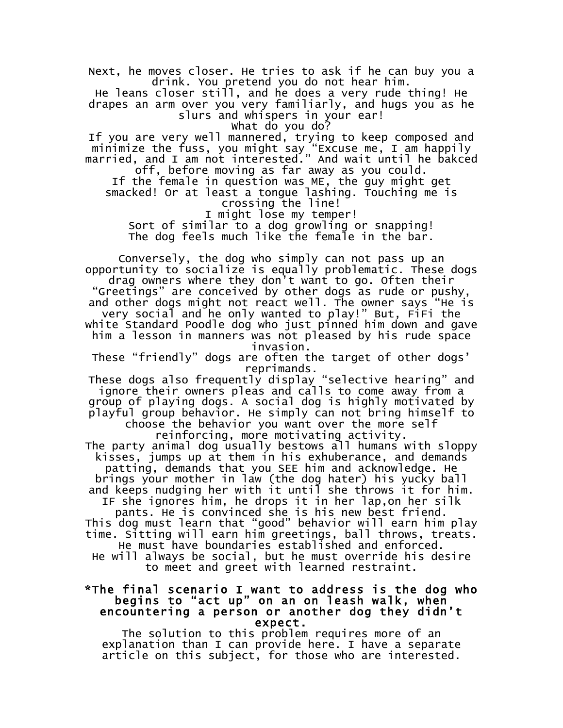Next, he moves closer. He tries to ask if he can buy you a drink. You pretend you do not hear him.

He leans closer still, and he does a very rude thing! He drapes an arm over you very familiarly, and hugs you as he slurs and whispers in your ear!

What do you do?

If you are very well mannered, trying to keep composed and minimize the fuss, you might say "Excuse me, I am happily married, and I am not interested." And wait until he bakced

off, before moving as far away as you could. If the female in question was ME, the guy might get smacked! Or at least a tongue lashing. Touching me is crossing the line!

I might lose my temper!

Sort of similar to a dog growling or snapping! The dog feels much like the female in the bar.

Conversely, the dog who simply can not pass up an opportunity to socialize is equally problematic. These dogs drag owners where they don't want to go. Often their "Greetings" are conceived by other dogs as rude or pushy, and other dogs might not react well. The owner says "He is very social and he only wanted to play!" But, FiFi the white Standard Poodle dog who just pinned him down and gave him a lesson in manners was not pleased by his rude space invasion.

These "friendly" dogs are often the target of other dogs' reprimands.

These dogs also frequently display "selective hearing" and ignore their owners pleas and calls to come away from a group of playing dogs. A social dog is highly motivated by playful group behavior. He simply can not bring himself to choose the behavior you want over the more self

reinforcing, more motivating activity.

The party animal dog usually bestows all humans with sloppy kisses, jumps up at them in his exhuberance, and demands patting, demands that you SEE him and acknowledge. He brings your mother in law (the dog hater) his yucky ball and keeps nudging her with it until she throws it for him.

IF she ignores him, he drops it in her lap,on her silk pants. He is convinced she is his new best friend. This dog must learn that "good" behavior will earn him play

time. Sitting will earn him greetings, ball throws, treats. He must have boundaries established and enforced. He will always be social, but he must override his desire

to meet and greet with learned restraint.

# \*The final scenario I want to address is the dog who begins to "act up" on an on leash walk, when encountering a person or another dog they didn't

expect.<br>The solution to this problem requires more of an explanation than I can provide here. I have a separate article on this subject, for those who are interested.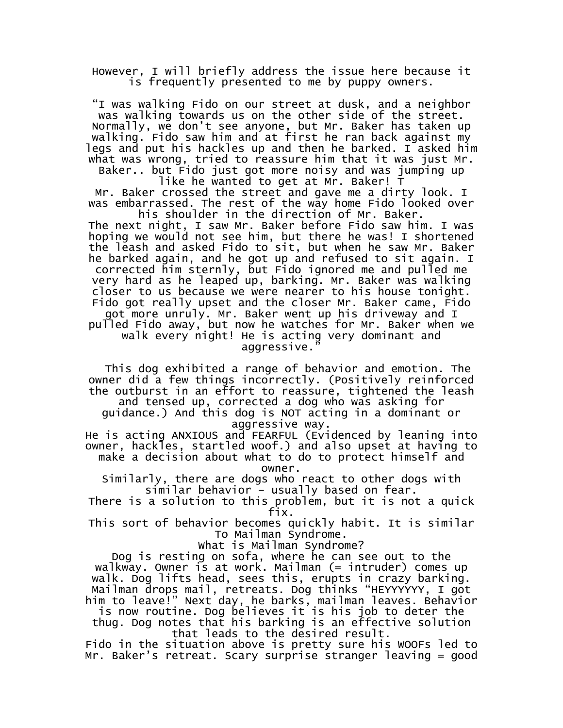However, I will briefly address the issue here because it is frequently presented to me by puppy owners.

"I was walking Fido on our street at dusk, and a neighbor was walking towards us on the other side of the street. Normally, we don't see anyone, but Mr. Baker has taken up walking. Fido saw him and at first he ran back against my legs and put his hackles up and then he barked. I asked him what was wrong, tried to reassure him that it was just Mr.

Baker.. but Fido just got more noisy and was jumping up like he wanted to get at Mr. Baker! T Mr. Baker crossed the street and gave me a dirty look. I

was embarrassed. The rest of the way home Fido looked over his shoulder in the direction of Mr. Baker.

The next night, I saw Mr. Baker before Fido saw him. I was hoping we would not see him, but there he was! I shortened the leash and asked Fido to sit, but when he saw Mr. Baker he barked again, and he got up and refused to sit again. I corrected him sternly, but Fido ignored me and pulled me very hard as he leaped up, barking. Mr. Baker was walking closer to us because we were nearer to his house tonight. Fido got really upset and the closer Mr. Baker came, Fido got more unruly. Mr. Baker went up his driveway and I pulled Fido away, but now he watches for Mr. Baker when we walk every night! He is acting very dominant and aggressive.

This dog exhibited a range of behavior and emotion. The owner did a few things incorrectly. (Positively reinforced the outburst in an effort to reassure, tightened the leash and tensed up, corrected a dog who was asking for

guidance.) And this dog is NOT acting in a dominant or aggressive way.

He is acting ANXIOUS and FEARFUL (Evidenced by leaning into owner, hackles, startled woof.) and also upset at having to make a decision about what to do to protect himself and owner.

Similarly, there are dogs who react to other dogs with similar behavior – usually based on fear.

There is a solution to this problem, but it is not a quick fix.

This sort of behavior becomes quickly habit. It is similar To Mailman Syndrome.

What is Mailman Syndrome?

Dog is resting on sofa, where he can see out to the walkway. Owner is at work. Mailman (= intruder) comes up walk. Dog lifts head, sees this, erupts in crazy barking. Mailman drops mail, retreats. Dog thinks "HEYYYYYY, I got him to leave!" Next day, he barks, mailman leaves. Behavior

is now routine. Dog believes it is his job to deter the thug. Dog notes that his barking is an effective solution

that leads to the desired result. Fido in the situation above is pretty sure his WOOFs led to Mr. Baker's retreat. Scary surprise stranger leaving = good